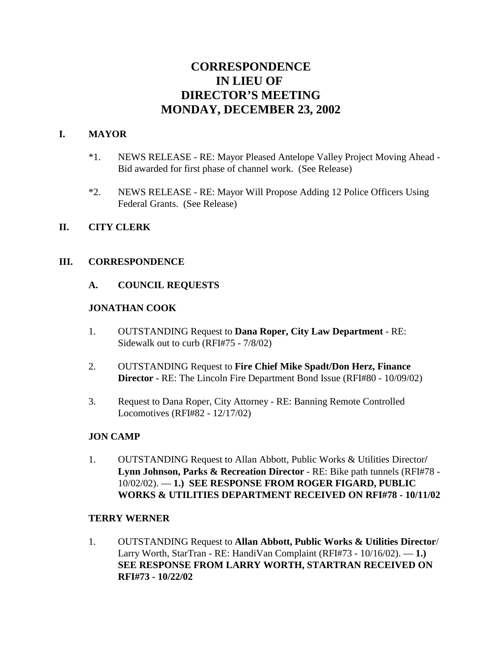# **CORRESPONDENCE IN LIEU OF DIRECTOR'S MEETING MONDAY, DECEMBER 23, 2002**

## **I. MAYOR**

- \*1. NEWS RELEASE RE: Mayor Pleased Antelope Valley Project Moving Ahead Bid awarded for first phase of channel work. (See Release)
- \*2. NEWS RELEASE RE: Mayor Will Propose Adding 12 Police Officers Using Federal Grants. (See Release)

# **II. CITY CLERK**

#### **III. CORRESPONDENCE**

#### **A. COUNCIL REQUESTS**

#### **JONATHAN COOK**

- 1. OUTSTANDING Request to **Dana Roper, City Law Department** RE: Sidewalk out to curb (RFI#75 - 7/8/02)
- 2. OUTSTANDING Request to **Fire Chief Mike Spadt/Don Herz, Finance Director** - RE: The Lincoln Fire Department Bond Issue (RFI#80 - 10/09/02)
- 3. Request to Dana Roper, City Attorney RE: Banning Remote Controlled Locomotives (RFI#82 - 12/17/02)

#### **JON CAMP**

1. OUTSTANDING Request to Allan Abbott, Public Works & Utilities Director**/ Lynn Johnson, Parks & Recreation Director** - RE: Bike path tunnels (RFI#78 - 10/02/02). — **1.) SEE RESPONSE FROM ROGER FIGARD, PUBLIC WORKS & UTILITIES DEPARTMENT RECEIVED ON RFI#78 - 10/11/02**

#### **TERRY WERNER**

1. OUTSTANDING Request to **Allan Abbott, Public Works & Utilities Director**/ Larry Worth, StarTran - RE: HandiVan Complaint (RFI#73 - 10/16/02). — **1.) SEE RESPONSE FROM LARRY WORTH, STARTRAN RECEIVED ON RFI#73 - 10/22/02**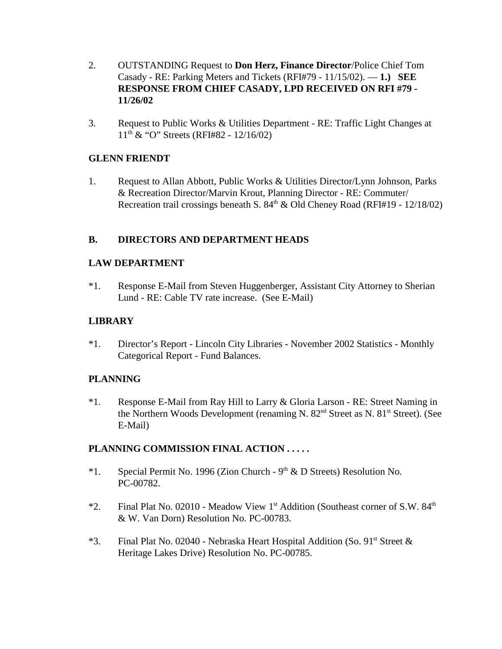- 2. OUTSTANDING Request to **Don Herz, Finance Director**/Police Chief Tom Casady - RE: Parking Meters and Tickets (RFI#79 - 11/15/02). — **1.) SEE RESPONSE FROM CHIEF CASADY, LPD RECEIVED ON RFI #79 - 11/26/02**
- 3. Request to Public Works & Utilities Department RE: Traffic Light Changes at  $11<sup>th</sup>$  & "O" Streets (RFI#82 - 12/16/02)

## **GLENN FRIENDT**

1. Request to Allan Abbott, Public Works & Utilities Director/Lynn Johnson, Parks & Recreation Director/Marvin Krout, Planning Director - RE: Commuter/ Recreation trail crossings beneath S.  $84<sup>th</sup>$  & Old Cheney Road (RFI#19 - 12/18/02)

# **B. DIRECTORS AND DEPARTMENT HEADS**

#### **LAW DEPARTMENT**

\*1. Response E-Mail from Steven Huggenberger, Assistant City Attorney to Sherian Lund - RE: Cable TV rate increase. (See E-Mail)

#### **LIBRARY**

\*1. Director's Report - Lincoln City Libraries - November 2002 Statistics - Monthly Categorical Report - Fund Balances.

# **PLANNING**

\*1. Response E-Mail from Ray Hill to Larry & Gloria Larson - RE: Street Naming in the Northern Woods Development (renaming N. 82<sup>nd</sup> Street as N. 81<sup>st</sup> Street). (See E-Mail)

# **PLANNING COMMISSION FINAL ACTION . . . . .**

- \*1. Special Permit No. 1996 (Zion Church  $9<sup>th</sup> \& D$  Streets) Resolution No. PC-00782.
- \*2. Final Plat No. 02010 Meadow View  $1<sup>st</sup>$  Addition (Southeast corner of S.W. 84<sup>th</sup> & W. Van Dorn) Resolution No. PC-00783.
- \*3. Final Plat No. 02040 Nebraska Heart Hospital Addition (So. 91st Street  $\&$ Heritage Lakes Drive) Resolution No. PC-00785.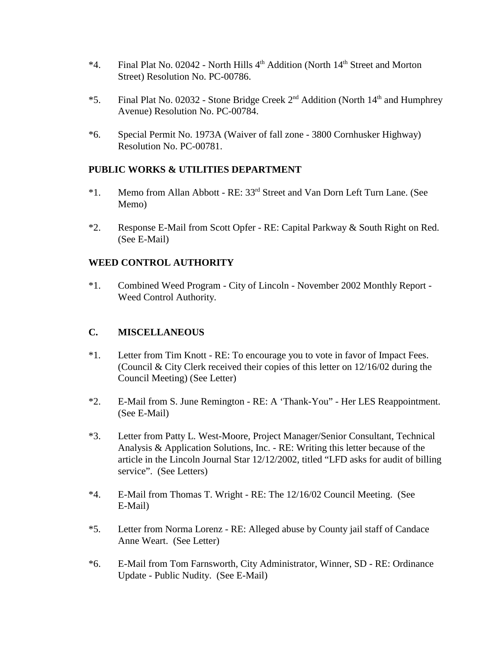- $*4.$  Final Plat No. 02042 North Hills  $4<sup>th</sup>$  Addition (North  $14<sup>th</sup>$  Street and Morton Street) Resolution No. PC-00786.
- \*5. Final Plat No. 02032 Stone Bridge Creek  $2<sup>nd</sup>$  Addition (North  $14<sup>th</sup>$  and Humphrey Avenue) Resolution No. PC-00784.
- \*6. Special Permit No. 1973A (Waiver of fall zone 3800 Cornhusker Highway) Resolution No. PC-00781.

# **PUBLIC WORKS & UTILITIES DEPARTMENT**

- \*1. Memo from Allan Abbott RE: 33rd Street and Van Dorn Left Turn Lane. (See Memo)
- \*2. Response E-Mail from Scott Opfer RE: Capital Parkway & South Right on Red. (See E-Mail)

#### **WEED CONTROL AUTHORITY**

\*1. Combined Weed Program - City of Lincoln - November 2002 Monthly Report - Weed Control Authority.

#### **C. MISCELLANEOUS**

- \*1. Letter from Tim Knott RE: To encourage you to vote in favor of Impact Fees. (Council & City Clerk received their copies of this letter on 12/16/02 during the Council Meeting) (See Letter)
- \*2. E-Mail from S. June Remington RE: A 'Thank-You" Her LES Reappointment. (See E-Mail)
- \*3. Letter from Patty L. West-Moore, Project Manager/Senior Consultant, Technical Analysis & Application Solutions, Inc. - RE: Writing this letter because of the article in the Lincoln Journal Star 12/12/2002, titled "LFD asks for audit of billing service". (See Letters)
- \*4. E-Mail from Thomas T. Wright RE: The 12/16/02 Council Meeting. (See E-Mail)
- \*5. Letter from Norma Lorenz RE: Alleged abuse by County jail staff of Candace Anne Weart. (See Letter)
- \*6. E-Mail from Tom Farnsworth, City Administrator, Winner, SD RE: Ordinance Update - Public Nudity. (See E-Mail)